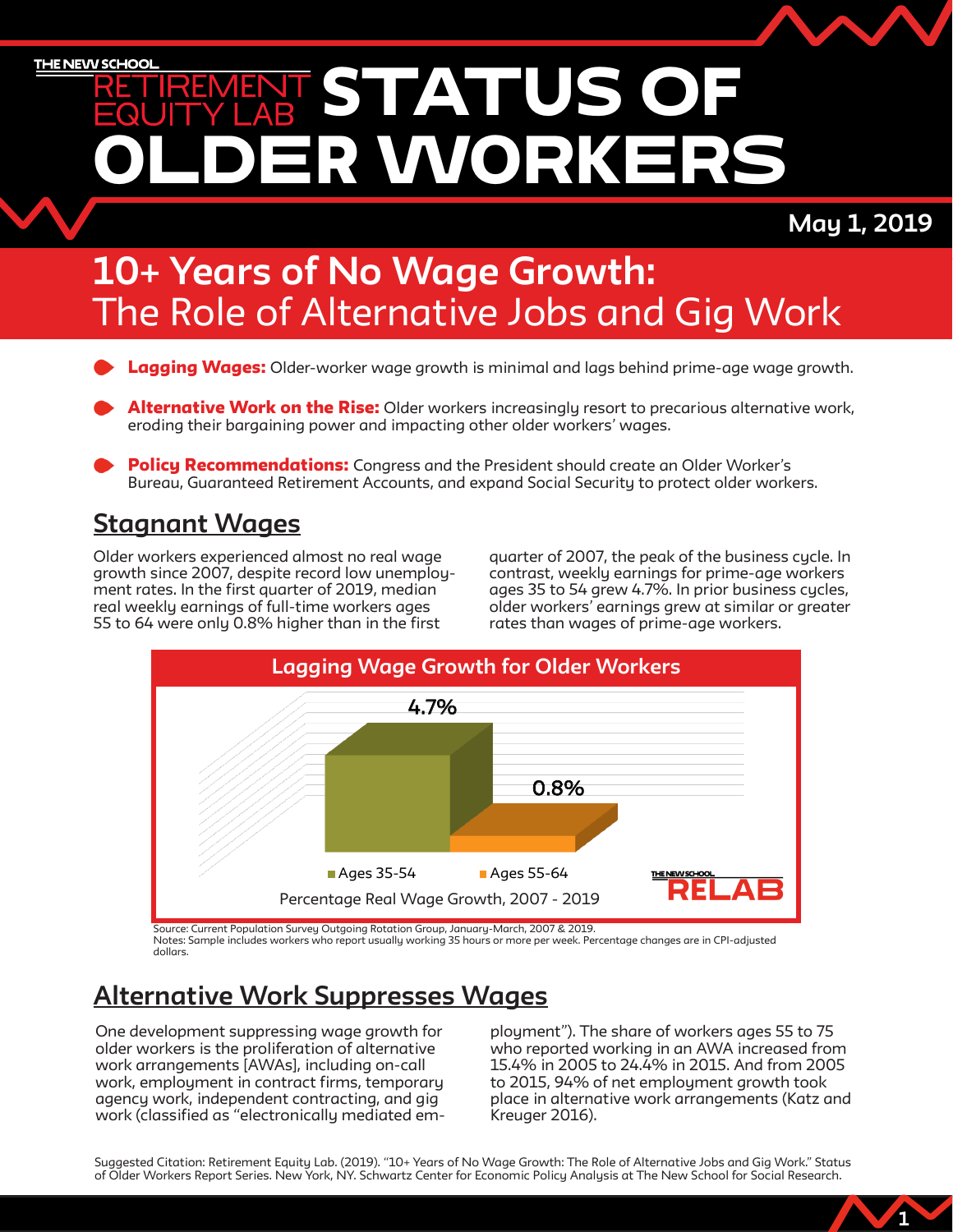ER WORKERS STATUS OF

### May 1, 2019

1

### 10+ Years of No Wage Growth: The Role of Alternative Jobs and Gig Work

- **Lagging Wages:** Older-worker wage growth is minimal and lags behind prime-age wage growth.
- **Alternative Work on the Rise:** Older workers increasingly resort to precarious alternative work, eroding their bargaining power and impacting other older workers' wages.
- Policy Recommendations: Congress and the President should create an Older Worker's Bureau, Guaranteed Retirement Accounts, and expand Social Security to protect older workers.

### Stagnant Wages

Older workers experienced almost no real wage growth since 2007, despite record low unemployment rates. In the first quarter of 2019, median real weekly earnings of full-time workers ages 55 to 64 were only 0.8% higher than in the first

quarter of 2007, the peak of the business cycle. In contrast, weekly earnings for prime-age workers ages 35 to 54 grew 4.7%. In prior business cycles, older workers' earnings grew at similar or greater rates than wages of prime-age workers.



Source: Current Population Survey Outgoing Rotation Group, January-March, 2007 & 2019. Notes: Sample includes workers who report usually working 35 hours or more per week. Percentage changes are in CPI-adjusted dollars.

### Alternative Work Suppresses Wages

One development suppressing wage growth for older workers is the proliferation of alternative work arrangements [AWAs], including on-call work, employment in contract firms, temporary agency work, independent contracting, and gig work (classified as "electronically mediated em-

ployment"). The share of workers ages 55 to 75 who reported working in an AWA increased from 15.4% in 2005 to 24.4% in 2015. And from 2005 to 2015, 94% of net employment growth took place in alternative work arrangements (Katz and Kreuger 2016).

Suggested Citation: Retirement Equity Lab. (2019). "10+ Years of No Wage Growth: The Role of Alternative Jobs and Gig Work." Status of Older Workers Report Series. New York, NY. Schwartz Center for Economic Policy Analysis at The New School for Social Research.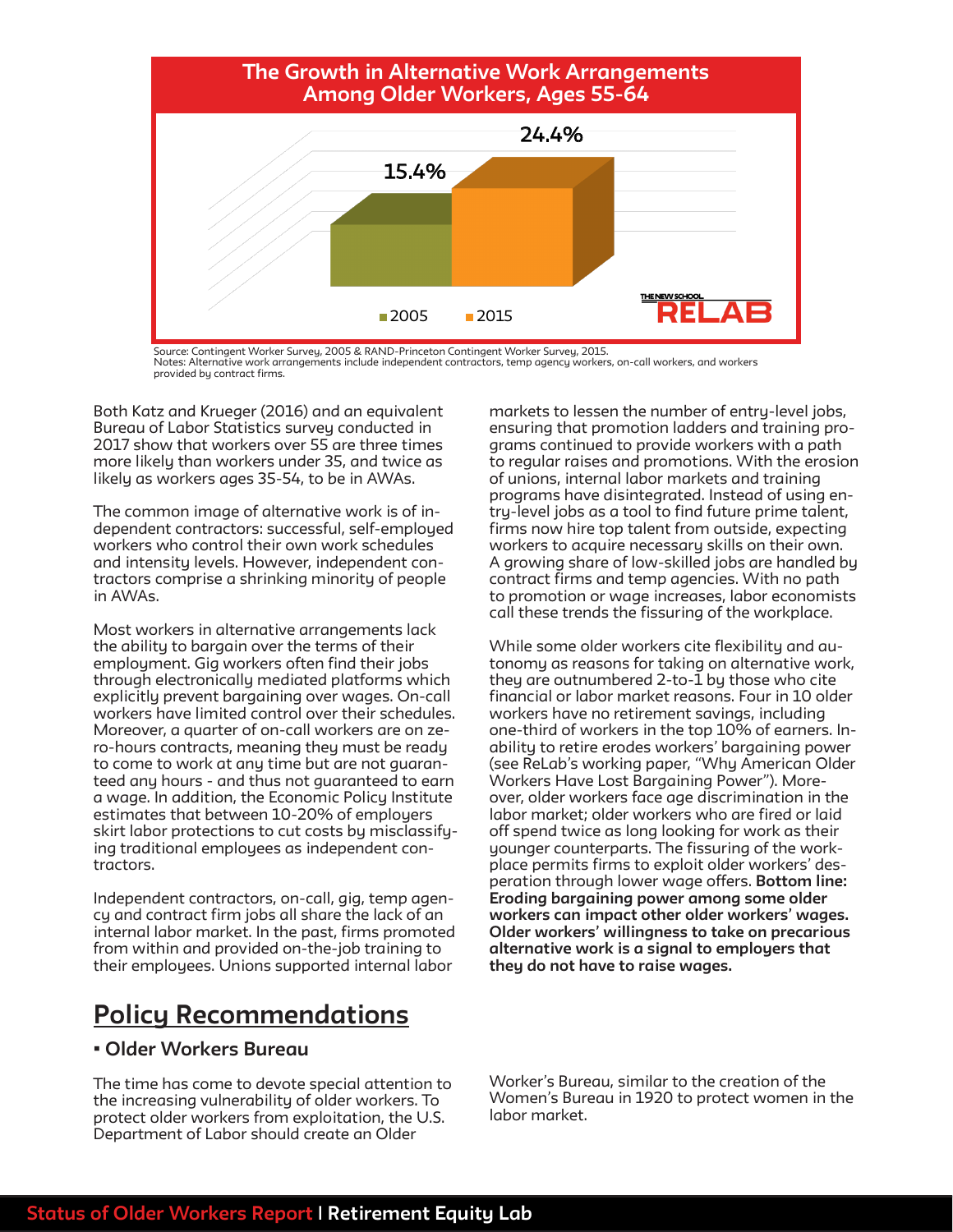

Source: Contingent Worker Survey, 2005 & RAND-Princeton Contingent Worker Survey, 2015. Notes: Alternative work arrangements include independent contractors, temp agency workers, on-call workers, and workers provided by contract firms.

Both Katz and Krueger (2016) and an equivalent Bureau of Labor Statistics survey conducted in 2017 show that workers over 55 are three times more likely than workers under 35, and twice as likely as workers ages 35-54, to be in AWAs.

The common image of alternative work is of independent contractors: successful, self-employed workers who control their own work schedules and intensity levels. However, independent contractors comprise a shrinking minority of people in AWAs.

Most workers in alternative arrangements lack the ability to bargain over the terms of their employment. Gig workers often find their jobs through electronically mediated platforms which explicitly prevent bargaining over wages. On-call workers have limited control over their schedules. Moreover, a quarter of on-call workers are on zero-hours contracts, meaning they must be ready to come to work at any time but are not guaranteed any hours - and thus not guaranteed to earn a wage. In addition, the Economic Policy Institute estimates that between 10-20% of employers skirt labor protections to cut costs by misclassifying traditional employees as independent contractors.

Independent contractors, on-call, gig, temp agency and contract firm jobs all share the lack of an internal labor market. In the past, firms promoted from within and provided on-the-job training to their employees. Unions supported internal labor

### Policy Recommendations

#### • Older Workers Bureau

The time has come to devote special attention to the increasing vulnerability of older workers. To protect older workers from exploitation, the U.S. Department of Labor should create an Older

markets to lessen the number of entry-level jobs, ensuring that promotion ladders and training programs continued to provide workers with a path to regular raises and promotions. With the erosion of unions, internal labor markets and training programs have disintegrated. Instead of using entry-level jobs as a tool to find future prime talent, firms now hire top talent from outside, expecting workers to acquire necessary skills on their own. A growing share of low-skilled jobs are handled by contract firms and temp agencies. With no path to promotion or wage increases, labor economists call these trends the fissuring of the workplace.

While some older workers cite flexibility and autonomy as reasons for taking on alternative work, they are outnumbered 2-to- $\overline{1}$  by those who cite financial or labor market reasons. Four in 10 older workers have no retirement savings, including one-third of workers in the top 10% of earners. Inability to retire erodes workers' bargaining power (see ReLab's working paper, "Why American Older Workers Have Lost Bargaining Power"). Moreover, older workers face age discrimination in the labor market; older workers who are fired or laid off spend twice as long looking for work as their younger counterparts. The fissuring of the workplace permits firms to exploit older workers' desperation through lower wage offers. Bottom line: Eroding bargaining power among some older workers can impact other older workers' wages. Older workers' willingness to take on precarious alternative work is a signal to employers that they do not have to raise wages.

Worker's Bureau, similar to the creation of the Women's Bureau in 1920 to protect women in the labor market.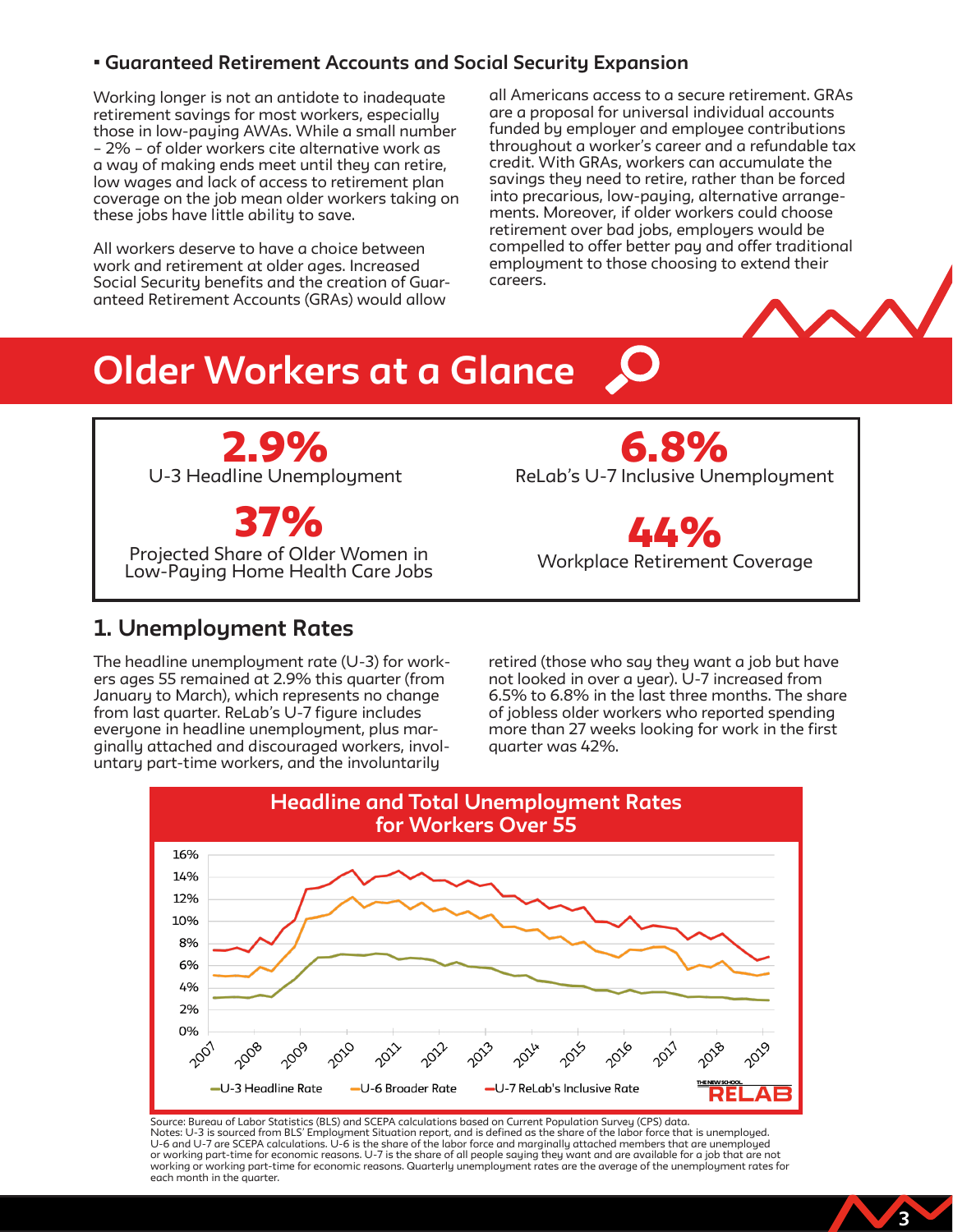### • Guaranteed Retirement Accounts and Social Security Expansion

Working longer is not an antidote to inadequate retirement savings for most workers, especially those in low-paying AWAs. While a small number – 2% – of older workers cite alternative work as a way of making ends meet until they can retire, low wages and lack of access to retirement plan coverage on the job mean older workers taking on these jobs have little ability to save.

All workers deserve to have a choice between work and retirement at older ages. Increased Social Security benefits and the creation of Guaranteed Retirement Accounts (GRAs) would allow

all Americans access to a secure retirement. GRAs are a proposal for universal individual accounts funded by employer and employee contributions throughout a worker's career and a refundable tax credit. With GRAs, workers can accumulate the savings they need to retire, rather than be forced into precarious, low-paying, alternative arrangements. Moreover, if older workers could choose retirement over bad jobs, employers would be compelled to offer better pay and offer traditional employment to those choosing to extend their careers.



3

### Older Workers at a Glance



ReLab's U-7 Inclusive Unemployment 6.8%

Workplace Retirement Coverage .*L*.Ye

### 1. Unemployment Rates

The headline unemployment rate (U-3) for workers ages 55 remained at 2.9% this quarter (from January to March), which represents no change from last quarter. ReLab's U-7 figure includes everyone in headline unemployment, plus marginally attached and discouraged workers, involuntary part-time workers, and the involuntarily

retired (those who say they want a job but have not looked in over a year). U-7 increased from 6.5% to 6.8% in the last three months. The share of jobless older workers who reported spending more than 27 weeks looking for work in the first quarter was 42%.



Source: Bureau of Labor Statistics (BLS) and SCEPA calculations based on Current Population Survey (CPS) data. Notes: U-3 is sourced from BLS' Employment Situation report, and is defined as the share of the labor force that is unemployed. U-6 and U-7 are SCEPA calculations. U-6 is the share of the labor force and marginally attached members that are unemployed<br>or working part-time for economic reasons. U-7 is the share of all people saying they want and are working or working part-time for economic reasons. Quarterly unemployment rates are the average of the unemployment rates for each month in the quarter.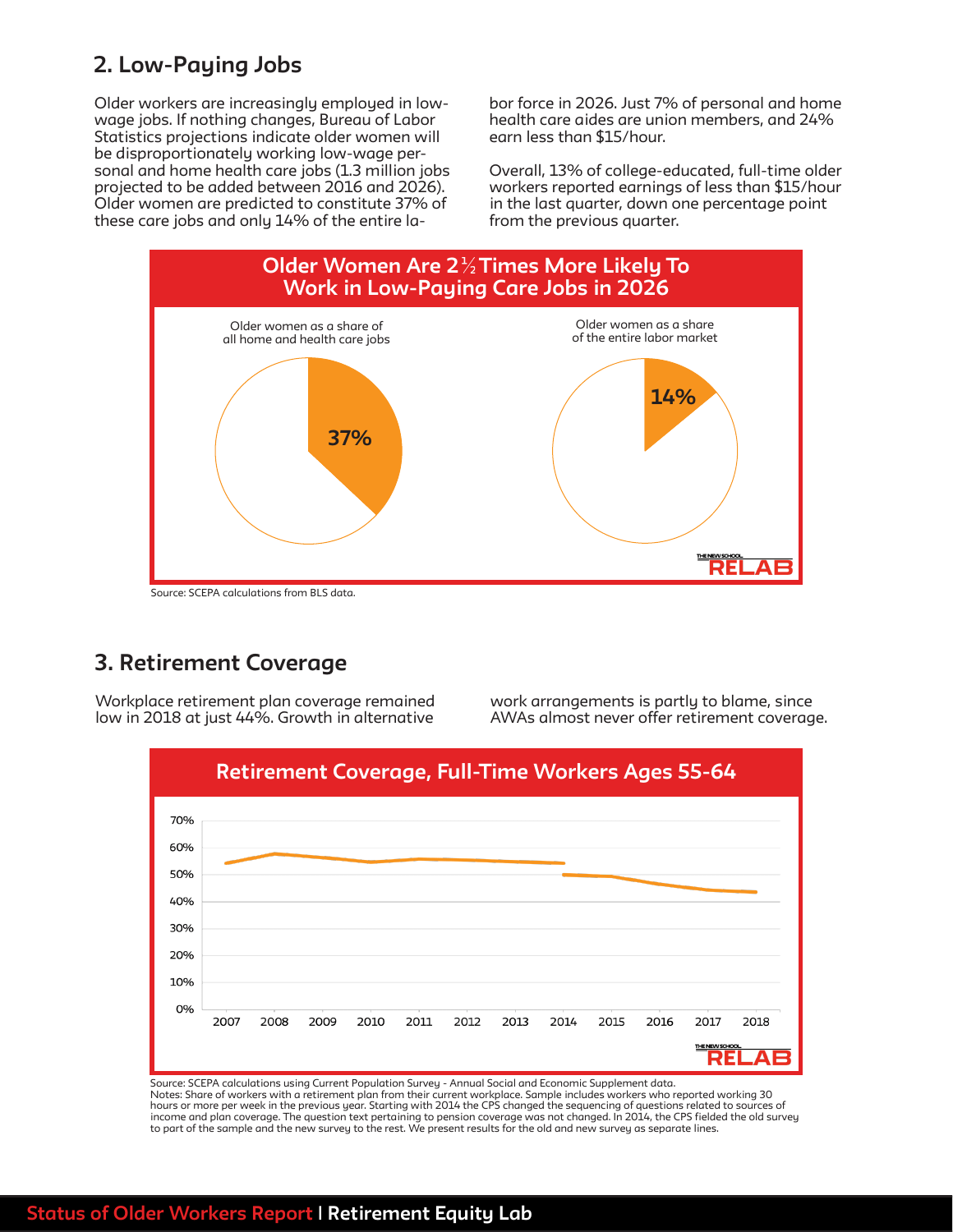### 2. Low-Paying Jobs

Older workers are increasingly employed in lowwage jobs. If nothing changes, Bureau of Labor Statistics projections indicate older women will be disproportionately working low-wage personal and home health care jobs (1.3 million jobs projected to be added between 2016 and 2026). Older women are predicted to constitute 37% of these care jobs and only 14% of the entire labor force in 2026. Just 7% of personal and home health care aides are union members, and 24% earn less than \$15/hour.

Overall, 13% of college-educated, full-time older workers reported earnings of less than \$15/hour in the last quarter, down one percentage point from the previous quarter.



### 3. Retirement Coverage

Workplace retirement plan coverage remained low in 2018 at just 44%. Growth in alternative work arrangements is partly to blame, since AWAs almost never offer retirement coverage.



Source: SCEPA calculations using Current Population Survey - Annual Social and Economic Supplement data. Notes: Share of workers with a retirement plan from their current workplace. Sample includes workers who reported working 30<br>hours or more per week in the previous year. Starting with 2014 the CPS changed the sequencing of income and plan coverage. The question text pertaining to pension coverage was not changed. In 2014, the CPS fielded the old survey to part of the sample and the new survey to the rest. We present results for the old and new survey as separate lines.